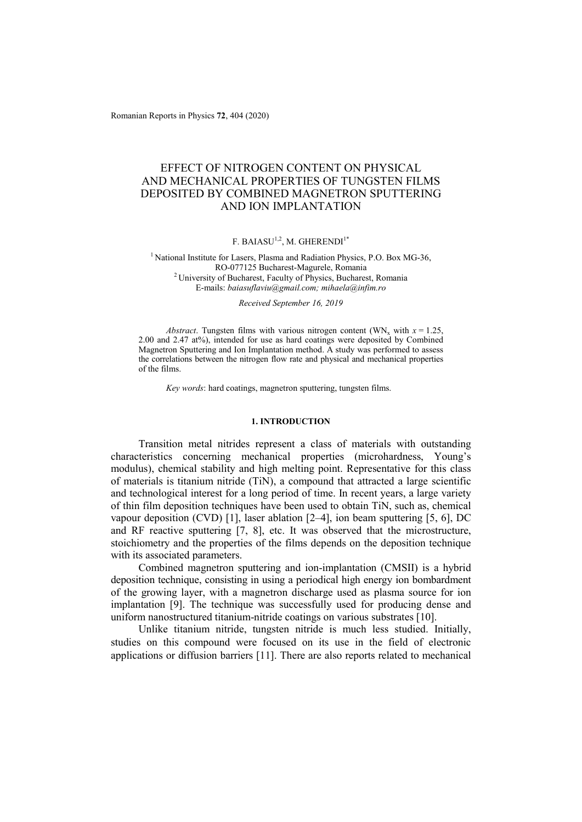Romanian Reports in Physics **72**, 404 (2020)

# EFFECT OF NITROGEN CONTENT ON PHYSICAL AND MECHANICAL PROPERTIES OF TUNGSTEN FILMS DEPOSITED BY COMBINED MAGNETRON SPUTTERING AND ION IMPLANTATION

## F. BAIASU<sup>1,2</sup>, M. GHERENDI<sup>1\*</sup>

<sup>1</sup> National Institute for Lasers, Plasma and Radiation Physics, P.O. Box MG-36, RO-077125 Bucharest-Magurele, Romania 2 University of Bucharest, Faculty of Physics, Bucharest, Romania E-mails: *baiasuflaviu@gmail.com; mihaela@infim.ro*

*Received September 16, 2019* 

*Abstract*. Tungsten films with various nitrogen content (WN<sub>x</sub> with  $x = 1.25$ , 2.00 and 2.47 at%), intended for use as hard coatings were deposited by Combined Magnetron Sputtering and Ion Implantation method. A study was performed to assess the correlations between the nitrogen flow rate and physical and mechanical properties of the films.

*Key words*: hard coatings, magnetron sputtering, tungsten films.

## **1. INTRODUCTION**

Transition metal nitrides represent a class of materials with outstanding characteristics concerning mechanical properties (microhardness, Young's modulus), chemical stability and high melting point. Representative for this class of materials is titanium nitride (TiN), a compound that attracted a large scientific and technological interest for a long period of time. In recent years, a large variety of thin film deposition techniques have been used to obtain TiN, such as, chemical vapour deposition (CVD) [1], laser ablation [2–4], ion beam sputtering [5, 6], DC and RF reactive sputtering [7, 8], etc. It was observed that the microstructure, stoichiometry and the properties of the films depends on the deposition technique with its associated parameters.

Combined magnetron sputtering and ion-implantation (CMSII) is a hybrid deposition technique, consisting in using a periodical high energy ion bombardment of the growing layer, with a magnetron discharge used as plasma source for ion implantation [9]. The technique was successfully used for producing dense and uniform nanostructured titanium-nitride coatings on various substrates [10].

Unlike titanium nitride, tungsten nitride is much less studied. Initially, studies on this compound were focused on its use in the field of electronic applications or diffusion barriers [11]. There are also reports related to mechanical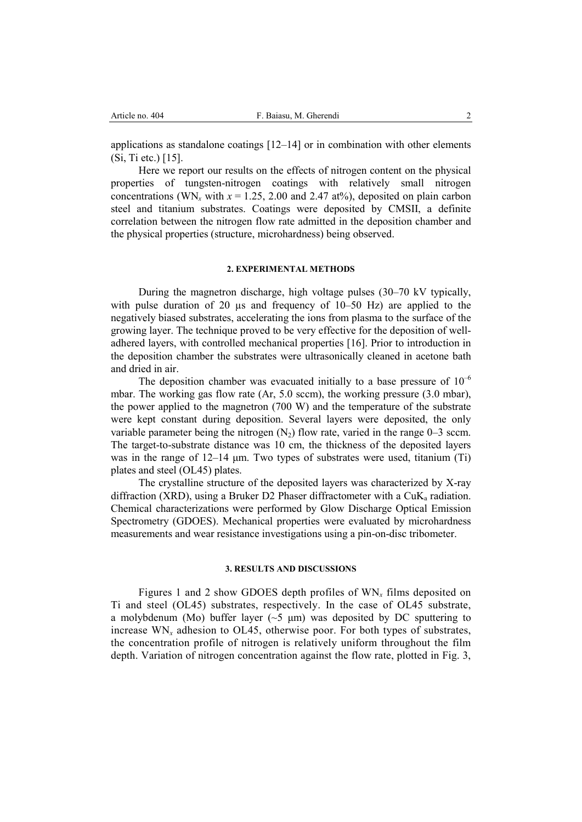applications as standalone coatings [12–14] or in combination with other elements (Si, Ti etc.) [15].

Here we report our results on the effects of nitrogen content on the physical properties of tungsten-nitrogen coatings with relatively small nitrogen concentrations (WN<sub>x</sub> with  $x = 1.25$ , 2.00 and 2.47 at%), deposited on plain carbon steel and titanium substrates. Coatings were deposited by CMSII, a definite correlation between the nitrogen flow rate admitted in the deposition chamber and the physical properties (structure, microhardness) being observed.

## **2. EXPERIMENTAL METHODS**

During the magnetron discharge, high voltage pulses (30–70 kV typically, with pulse duration of 20 µs and frequency of 10–50 Hz) are applied to the negatively biased substrates, accelerating the ions from plasma to the surface of the growing layer. The technique proved to be very effective for the deposition of welladhered layers, with controlled mechanical properties [16]. Prior to introduction in the deposition chamber the substrates were ultrasonically cleaned in acetone bath and dried in air.

The deposition chamber was evacuated initially to a base pressure of  $10^{-6}$ mbar. The working gas flow rate (Ar,  $5.0$  sccm), the working pressure (3.0 mbar), the power applied to the magnetron (700 W) and the temperature of the substrate were kept constant during deposition. Several layers were deposited, the only variable parameter being the nitrogen  $(N_2)$  flow rate, varied in the range 0–3 sccm. The target-to-substrate distance was 10 cm, the thickness of the deposited layers was in the range of  $12-14$  µm. Two types of substrates were used, titanium (Ti) plates and steel (OL45) plates.

The crystalline structure of the deposited layers was characterized by X-ray diffraction (XRD), using a Bruker D2 Phaser diffractometer with a  $CuK<sub>a</sub>$  radiation. Chemical characterizations were performed by Glow Discharge Optical Emission Spectrometry (GDOES). Mechanical properties were evaluated by microhardness measurements and wear resistance investigations using a pin-on-disc tribometer.

## **3. RESULTS AND DISCUSSIONS**

Figures 1 and 2 show GDOES depth profiles of WN*x* films deposited on Ti and steel (OL45) substrates, respectively. In the case of OL45 substrate, a molybdenum (Mo) buffer layer ( $\sim$ 5  $\mu$ m) was deposited by DC sputtering to increase WN*x* adhesion to OL45, otherwise poor. For both types of substrates, the concentration profile of nitrogen is relatively uniform throughout the film depth. Variation of nitrogen concentration against the flow rate, plotted in Fig. 3,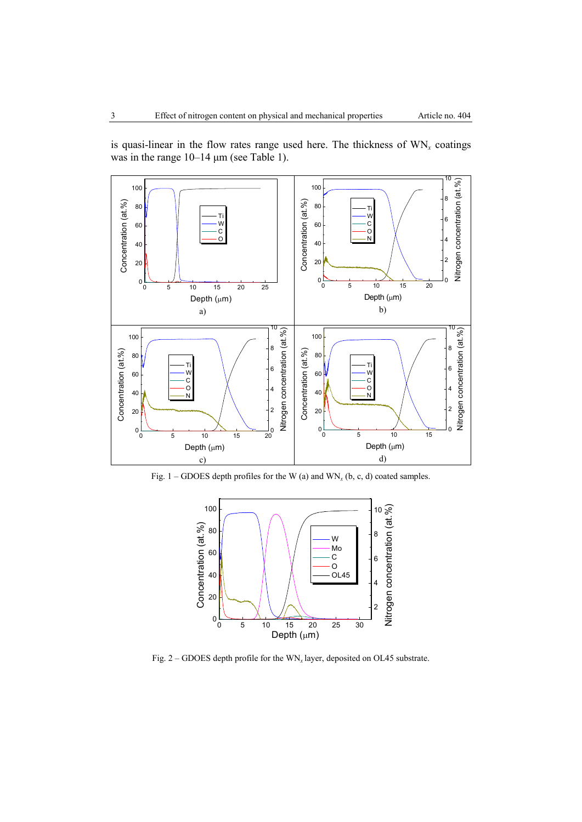is quasi-linear in the flow rates range used here. The thickness of  $WN<sub>x</sub>$  coatings was in the range 10–14 μm (see Table 1).



Fig. 1 – GDOES depth profiles for the W (a) and WN*x* (b, c, d) coated samples.



Fig. 2 – GDOES depth profile for the WN*<sup>x</sup>* layer, deposited on OL45 substrate.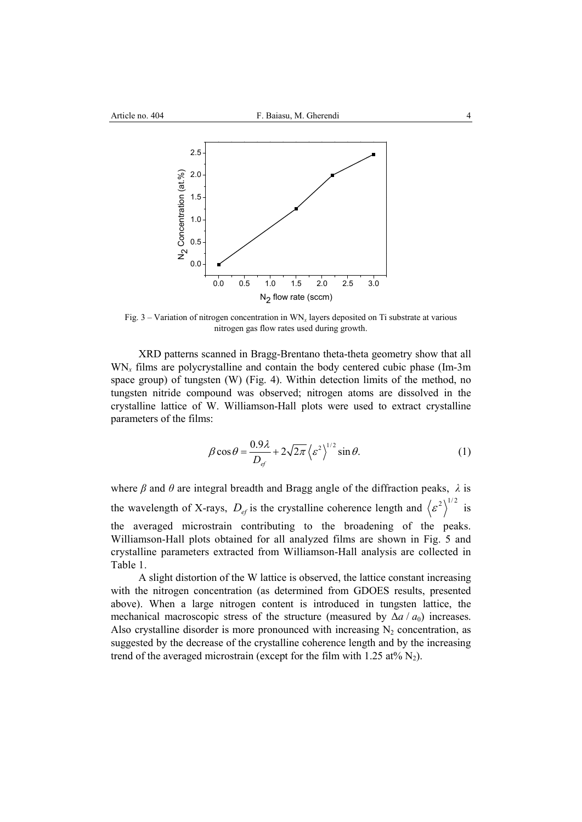

Fig. 3 – Variation of nitrogen concentration in WN*x* layers deposited on Ti substrate at various nitrogen gas flow rates used during growth.

XRD patterns scanned in Bragg-Brentano theta-theta geometry show that all WN*x* films are polycrystalline and contain the body centered cubic phase (Im-3m space group) of tungsten (W) (Fig. 4). Within detection limits of the method, no tungsten nitride compound was observed; nitrogen atoms are dissolved in the crystalline lattice of W. Williamson-Hall plots were used to extract crystalline parameters of the films:

$$
\beta \cos \theta = \frac{0.9\lambda}{D_{\text{ef}}} + 2\sqrt{2\pi} \left\langle \varepsilon^2 \right\rangle^{1/2} \sin \theta. \tag{1}
$$

where *β* and *θ* are integral breadth and Bragg angle of the diffraction peaks, *λ* is the wavelength of X-rays,  $D_{ef}$  is the crystalline coherence length and  $\langle \varepsilon^2 \rangle^{1/2}$  is the averaged microstrain contributing to the broadening of the peaks. Williamson-Hall plots obtained for all analyzed films are shown in Fig. 5 and crystalline parameters extracted from Williamson-Hall analysis are collected in Table 1.

A slight distortion of the W lattice is observed, the lattice constant increasing with the nitrogen concentration (as determined from GDOES results, presented above). When a large nitrogen content is introduced in tungsten lattice, the mechanical macroscopic stress of the structure (measured by  $\Delta a / a_0$ ) increases. Also crystalline disorder is more pronounced with increasing  $N<sub>2</sub>$  concentration, as suggested by the decrease of the crystalline coherence length and by the increasing trend of the averaged microstrain (except for the film with 1.25 at%  $N_2$ ).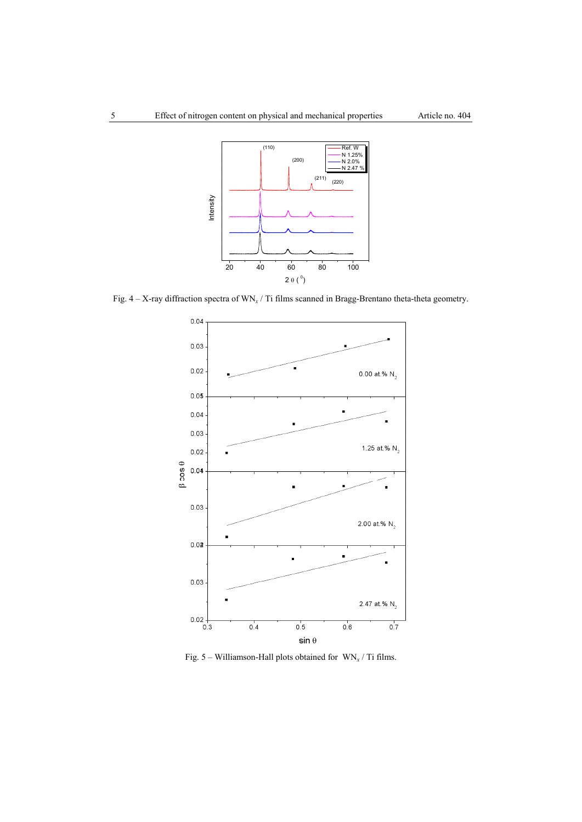

Fig. 4 – X-ray diffraction spectra of WN*x* / Ti films scanned in Bragg-Brentano theta-theta geometry.



Fig. 5 – Williamson-Hall plots obtained for WN*x* / Ti films.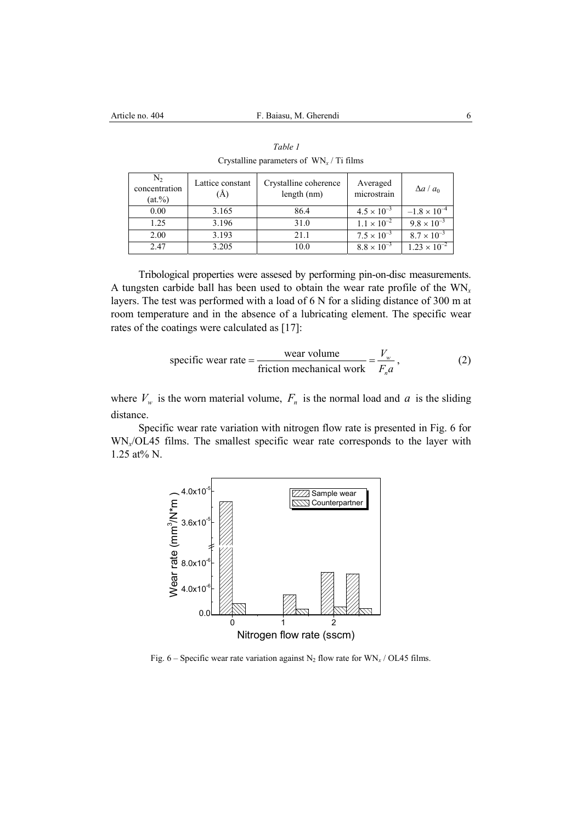| N,<br>concentration<br>$(at.\%)$ | Lattice constant<br>(A) | Crystalline coherence<br>length (nm) | Averaged<br>microstrain | $\Delta a / a_0$      |
|----------------------------------|-------------------------|--------------------------------------|-------------------------|-----------------------|
| 0.00                             | 3.165                   | 86.4                                 | $4.5 \times 10^{-3}$    | $-1.8 \times 10^{-4}$ |
| 1.25                             | 3.196                   | 31.0                                 | $1.1 \times 10^{-2}$    | $9.8 \times 10^{-3}$  |
| 2.00                             | 3.193                   | 21.1                                 | $7.5 \times 10^{-3}$    | $8.7 \times 10^{-3}$  |
| 2.47                             | 3.205                   | 10.0                                 | $8.8 \times 10^{-3}$    | $1.23 \times 10^{-2}$ |

*Table 1*  Crystalline parameters of WN*x* / Ti films

Tribological properties were assesed by performing pin-on-disc measurements. A tungsten carbide ball has been used to obtain the wear rate profile of the WN*<sup>x</sup>* layers. The test was performed with a load of 6 N for a sliding distance of 300 m at room temperature and in the absence of a lubricating element. The specific wear rates of the coatings were calculated as [17]:

specific wear rate = 
$$
\frac{\text{year volume}}{\text{friction mechanical work}} = \frac{V_w}{F_n a}
$$
, (2)

where  $V_w$  is the worn material volume,  $F_n$  is the normal load and *a* is the sliding distance.

Specific wear rate variation with nitrogen flow rate is presented in Fig. 6 for WN<sub>x</sub>/OL45 films. The smallest specific wear rate corresponds to the layer with 1.25 at% N.



Fig.  $6$  – Specific wear rate variation against N<sub>2</sub> flow rate for WN<sub>x</sub> / OL45 films.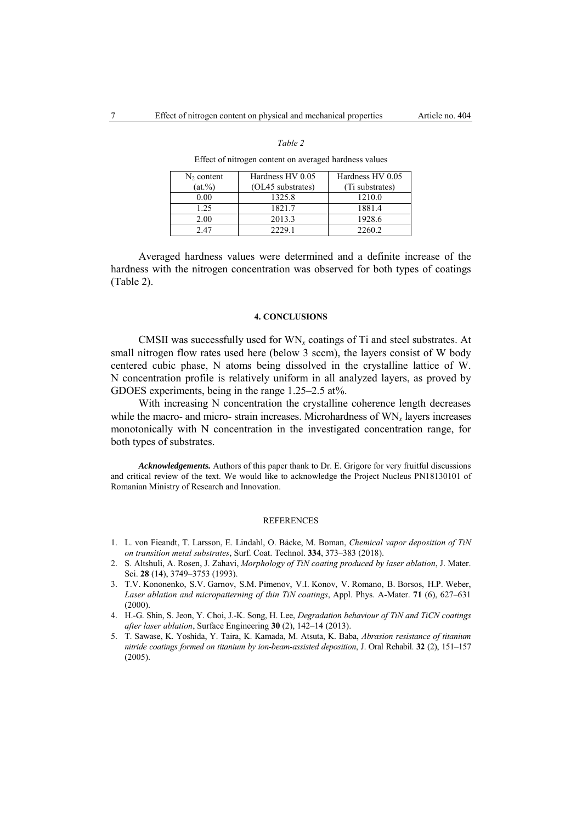## *Table 2*

| $N_2$ content | Hardness HV 0.05  | Hardness HV 0.05 |
|---------------|-------------------|------------------|
| $(at.\%)$     | (OL45 substrates) | (Ti substrates)  |
| 0.00          | 1325.8            | 1210.0           |
| 1.25          | 1821.7            | 1881.4           |
| 2.00          | 2013.3            | 1928.6           |
| 2.47          | 2229.1            | 2260.2           |

Averaged hardness values were determined and a definite increase of the hardness with the nitrogen concentration was observed for both types of coatings (Table 2).

## **4. CONCLUSIONS**

CMSII was successfully used for WN*x* coatings of Ti and steel substrates. At small nitrogen flow rates used here (below 3 sccm), the layers consist of W body centered cubic phase, N atoms being dissolved in the crystalline lattice of W. N concentration profile is relatively uniform in all analyzed layers, as proved by GDOES experiments, being in the range 1.25–2.5 at%.

With increasing N concentration the crystalline coherence length decreases while the macro- and micro- strain increases. Microhardness of WN<sub>x</sub> layers increases monotonically with N concentration in the investigated concentration range, for both types of substrates.

*Acknowledgements.* Authors of this paper thank to Dr. E. Grigore for very fruitful discussions and critical review of the text. We would like to acknowledge the Project Nucleus PN18130101 of Romanian Ministry of Research and Innovation.

#### **REFERENCES**

- 1. L. von Fieandt, T. Larsson, E. Lindahl, O. Bäcke, M. Boman, *Chemical vapor deposition of TiN on transition metal substrates*, Surf. Coat. Technol. **334**, 373–383 (2018).
- 2. S. Altshuli, A. Rosen, J. Zahavi, *Morphology of TiN coating produced by laser ablation*, J. Mater. Sci. **28** (14), 3749–3753 (1993).
- 3. T.V. Kononenko, S.V. Garnov, S.M. Pimenov, V.I. Konov, V. Romano, B. Borsos, H.P. Weber, *Laser ablation and micropatterning of thin TiN coatings*, Appl. Phys. A-Mater. **71** (6), 627–631 (2000).
- 4. H.-G. Shin, S. Jeon, Y. Choi, J.-K. Song, H. Lee, *Degradation behaviour of TiN and TiCN coatings after laser ablation*, Surface Engineering **30** (2), 142–14 (2013).
- 5. T. Sawase, K. Yoshida, Y. Taira, K. Kamada, M. Atsuta, K. Baba, *Abrasion resistance of titanium nitride coatings formed on titanium by ion-beam-assisted deposition*, J. Oral Rehabil. **32** (2), 151–157 (2005).